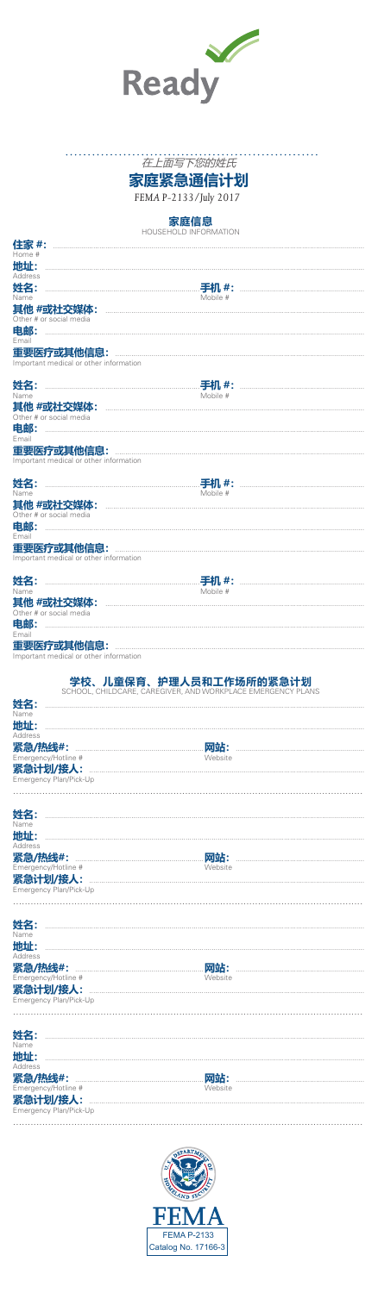

## 

家庭紧急通信计划

FEMA P-2133/July 2017

家庭信息

|                                                      | HOUSEHOLD INFORMATION                                       |
|------------------------------------------------------|-------------------------------------------------------------|
| 住家 #:                                                |                                                             |
| Home #                                               |                                                             |
| 地址:<br>Address                                       |                                                             |
| 姓名:                                                  | 手机 #:                                                       |
| Name                                                 | Mobile #                                                    |
| 其他 #或社交媒体:                                           |                                                             |
| Other # or social media                              |                                                             |
| 电邮:<br>Email                                         |                                                             |
| 重要医疗或其他信息:                                           |                                                             |
| Important medical or other information               |                                                             |
|                                                      |                                                             |
| 姓名:                                                  | <b>手机 #:</b><br>Mobile #                                    |
| Name<br>其他 #或社交媒体:                                   |                                                             |
| Other # or social media                              |                                                             |
| 电邮:                                                  |                                                             |
| Email                                                |                                                             |
| 重要医疗或其他信息:<br>Important medical or other information |                                                             |
|                                                      |                                                             |
| 姓名:                                                  |                                                             |
| Name                                                 | Mobile #                                                    |
| 其他 #或社交媒体:                                           |                                                             |
| Other # or social media                              |                                                             |
| 电邮:<br>Email                                         |                                                             |
| 重要医疗或其他信息:                                           |                                                             |
| Important medical or other information               |                                                             |
|                                                      |                                                             |
| 姓名:                                                  | <b>手机 #:</b>                                                |
| Name<br>其他 #或社交媒体:                                   | Mobile #                                                    |
| Other # or social media                              |                                                             |
|                                                      |                                                             |
| 电邮:                                                  |                                                             |
| Email                                                |                                                             |
| 重要医疗或其他信息:                                           |                                                             |
| Important medical or other information               |                                                             |
|                                                      |                                                             |
|                                                      | 学校、儿童保育、护理人员和工作场所的紧急计划                                      |
|                                                      | SCHOOL, CHILDCARE, CAREGIVER, AND WORKPLACE EMERGENCY PLANS |
| 姓名:<br>Name                                          |                                                             |
| 地址:                                                  |                                                             |
| Address                                              |                                                             |
| 紧急/热线#:                                              | 网站:                                                         |
| Emergency/Hotline #                                  | Website                                                     |
| 紧急计划/接人:<br>Emergency Plan/Pick-Up                   |                                                             |
|                                                      |                                                             |
|                                                      |                                                             |
| 姓名:                                                  |                                                             |
| Name                                                 |                                                             |
| 地址:<br>Address                                       |                                                             |
| 紧急/热线#:                                              | 网站:                                                         |
| Emergency/Hotline #                                  | Website                                                     |
| 紧急计划/接人:                                             |                                                             |
| Emergency Plan/Pick-Up                               |                                                             |
|                                                      |                                                             |
|                                                      |                                                             |
| 姓名:<br>Name                                          |                                                             |
| 地址:                                                  |                                                             |
| Address                                              |                                                             |
| 紧急/热线#:<br>Emergency/Hotline #                       | 网站:<br>Website                                              |
| 紧急计划/接人:                                             |                                                             |
| Emergency Plan/Pick-Up                               |                                                             |
|                                                      |                                                             |
|                                                      |                                                             |
| 姓名                                                   |                                                             |
| Name                                                 |                                                             |
| 地址:<br>Address                                       |                                                             |
| 紧急/热线#:<br>ency/Hotline                              | 网站:                                                         |